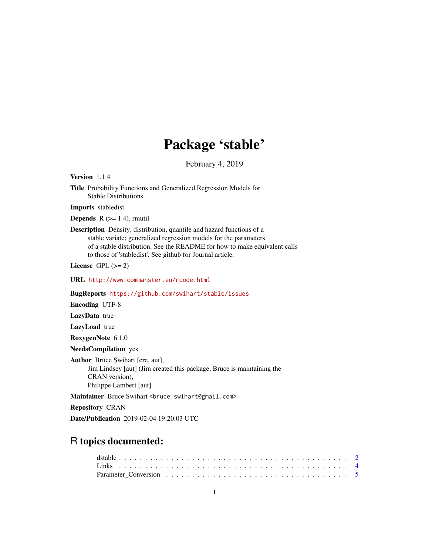# Package 'stable'

February 4, 2019

<span id="page-0-0"></span>Version 1.1.4

Title Probability Functions and Generalized Regression Models for Stable Distributions

Imports stabledist

**Depends**  $R$  ( $>= 1.4$ ), rmutil

Description Density, distribution, quantile and hazard functions of a stable variate; generalized regression models for the parameters of a stable distribution. See the README for how to make equivalent calls to those of 'stabledist'. See github for Journal article.

License GPL  $(>= 2)$ 

URL <http://www.commanster.eu/rcode.html>

BugReports <https://github.com/swihart/stable/issues>

Encoding UTF-8

LazyData true

LazyLoad true

RoxygenNote 6.1.0

NeedsCompilation yes

Author Bruce Swihart [cre, aut], Jim Lindsey [aut] (Jim created this package, Bruce is maintaining the CRAN version), Philippe Lambert [aut]

Maintainer Bruce Swihart <br/>bruce.swihart@gmail.com>

Repository CRAN

Date/Publication 2019-02-04 19:20:03 UTC

# R topics documented: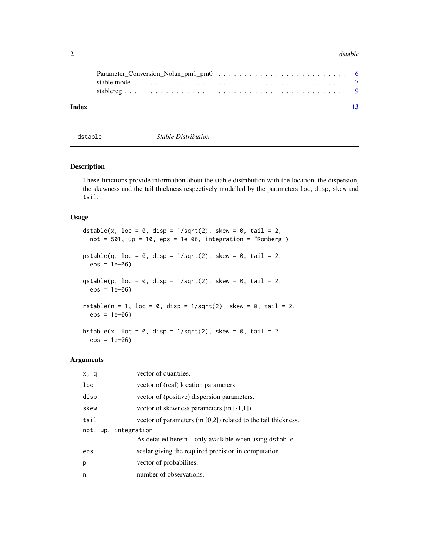#### <span id="page-1-0"></span> $2 \times 2$

| Index |  |  |  |  |  |  |  |  |  |  |  | 13 |
|-------|--|--|--|--|--|--|--|--|--|--|--|----|

dstable *Stable Distribution*

# Description

These functions provide information about the stable distribution with the location, the dispersion, the skewness and the tail thickness respectively modelled by the parameters loc, disp, skew and tail.

# Usage

```
dstable(x, loc = 0, disp = 1/\sqrt{2}, skew = 0, tail = 2,
  npt = 501, up = 10, eps = 1e-06, integration = "Romberg")
pstable(q, loc = 0, disp = 1/\sqrt{2}, skew = 0, tail = 2,
  eps = 1e-06)
qstable(p, loc = 0, disp = 1/\sqrt{2}, skew = 0, tail = 2,
  eps = 1e-06)
rstable(n = 1, loc = 0, disp = 1/\sqrt{2}, skew = 0, tail = 2,
  eps = 1e-06)
hstable(x, loc = 0, disp = 1/\sqrt{2}, skew = 0, tail = 2,
  eps = 1e-06
```
# Arguments

| x, q                 | vector of quantiles.                                              |
|----------------------|-------------------------------------------------------------------|
| loc                  | vector of (real) location parameters.                             |
| disp                 | vector of (positive) dispersion parameters.                       |
| skew                 | vector of skewness parameters (in $[-1,1]$ ).                     |
| tail                 | vector of parameters (in $[0,2]$ ) related to the tail thickness. |
| npt, up, integration |                                                                   |
|                      | As detailed herein – only available when using dstable.           |
| eps                  | scalar giving the required precision in computation.              |
| p                    | vector of probabilities.                                          |
| n                    | number of observations.                                           |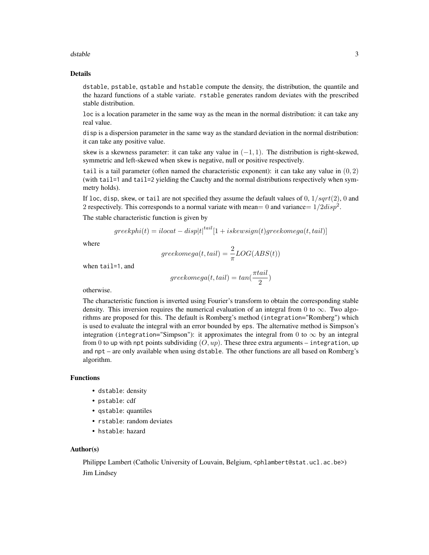#### dstable 3

# Details

dstable, pstable, qstable and hstable compute the density, the distribution, the quantile and the hazard functions of a stable variate. rstable generates random deviates with the prescribed stable distribution.

loc is a location parameter in the same way as the mean in the normal distribution: it can take any real value.

disp is a dispersion parameter in the same way as the standard deviation in the normal distribution: it can take any positive value.

skew is a skewness parameter: it can take any value in  $(-1, 1)$ . The distribution is right-skewed, symmetric and left-skewed when skew is negative, null or positive respectively.

tail is a tail parameter (often named the characteristic exponent): it can take any value in  $(0, 2)$ (with tail=1 and tail=2 yielding the Cauchy and the normal distributions respectively when symmetry holds).

If loc, disp, skew, or tail are not specified they assume the default values of  $0, 1/sqrt(2), 0$  and 2 respectively. This corresponds to a normal variate with mean= 0 and variance=  $1/2disp^2$ .

The stable characteristic function is given by

$$
greekphi(t) = ilocat-disp|t|^{tail}[1+iskewsign(t)greekomega(t, tail)]
$$

where

$$
greekomega(t,tail) = \frac{2}{\pi}LOG(ABS(t))
$$

when tail=1, and

$$
greekomega(t, tail) = tan(\frac{\pi tail}{2})
$$

otherwise.

The characteristic function is inverted using Fourier's transform to obtain the corresponding stable density. This inversion requires the numerical evaluation of an integral from 0 to  $\infty$ . Two algorithms are proposed for this. The default is Romberg's method (integration="Romberg") which is used to evaluate the integral with an error bounded by eps. The alternative method is Simpson's integration (integration="Simpson"): it approximates the integral from 0 to  $\infty$  by an integral from 0 to up with npt points subdividing  $(O, up)$ . These three extra arguments – integration, up and npt – are only available when using dstable. The other functions are all based on Romberg's algorithm.

# Functions

- dstable: density
- pstable: cdf
- qstable: quantiles
- rstable: random deviates
- hstable: hazard

#### Author(s)

Philippe Lambert (Catholic University of Louvain, Belgium, <phlambert@stat.ucl.ac.be>) Jim Lindsey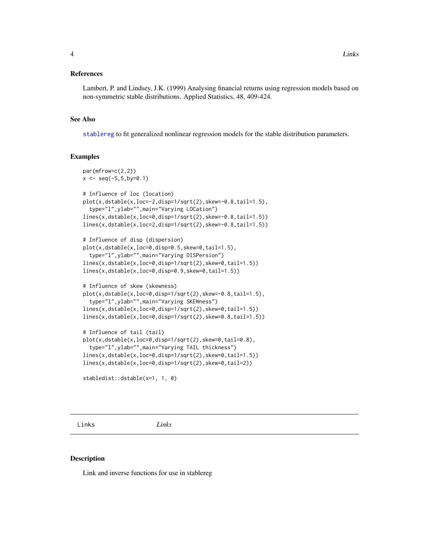# <span id="page-3-0"></span>References

Lambert, P. and Lindsey, J.K. (1999) Analysing financial returns using regression models based on non-symmetric stable distributions. Applied Statistics, 48, 409-424.

# See Also

[stablereg](#page-8-1) to fit generalized nonlinear regression models for the stable distribution parameters.

#### Examples

```
par(mfrow=c(2,2))
x \leq -\text{seq}(-5, 5, \text{by=0}.1)# Influence of loc (location)
plot(x,dstable(x,loc=-2,disp=1/sqrt(2),skew=-0.8,tail=1.5),type="l",ylab="",main="Varying LOCation")
lines(x,dstable(x,loc=0,disp=1/sqrt(2),skew=-0.8,tail=1.5))
lines(x,dstable(x,loc=2,disp=1/sqrt(2),skew=-0.8,tail=1.5))
# Influence of disp (dispersion)
plot(x,dstable(x,loc=0,disp=0.5,skew=0,tail=1.5),
  type="l",ylab="",main="Varying DISPersion")
lines(x,dstable(x,loc=0,disp=1/sqrt(2),skew=0,tail=1.5))
lines(x,dstable(x,loc=0,disp=0.9,skew=0,tail=1.5))
# Influence of skew (skewness)
plot(x,dstable(x,loc=0,disp=1/sqrt(2),skew=-0.8,tail=1.5),
 type="l",ylab="",main="Varying SKEWness")
lines(x,dstable(x,loc=0,disp=1/sqrt(2),skew=0,tail=1.5))
lines(x,dstable(x,loc=0,disp=1/sqrt(2),skew=0.8,tail=1.5))
# Influence of tail (tail)
plot(x,dstable(x,loc=0,disp=1/sqrt(2),skew=0,tail=0.8),
 type="l",ylab="",main="Varying TAIL thickness")
lines(x,dstable(x,loc=0,disp=1/sqrt(2),skew=0,tail=1.5))
lines(x,dstable(x,loc=0,disp=1/sqrt(2),skew=0,tail=2))
```
stabledist::dstable(x=1, 1, 0)

Links *Links*

#### Description

Link and inverse functions for use in stablereg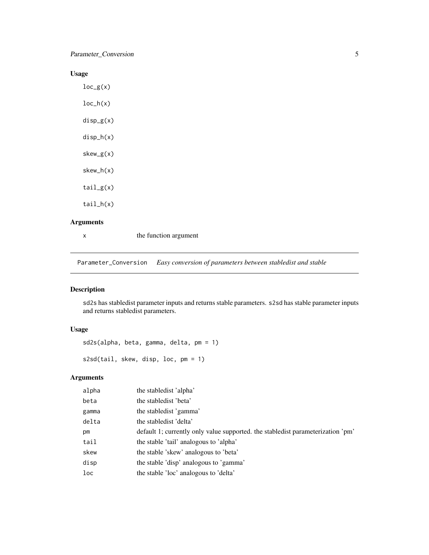<span id="page-4-0"></span>Parameter\_Conversion 5

# Usage

 $loc_g(x)$  $loc_h(x)$ disp\_g(x) disp\_h(x) skew\_g(x) skew\_h(x) tail\_g(x) tail\_h(x)

# Arguments

x the function argument

Parameter\_Conversion *Easy conversion of parameters between stabledist and stable*

# Description

sd2s has stabledist parameter inputs and returns stable parameters. s2sd has stable parameter inputs and returns stabledist parameters.

# Usage

sd2s(alpha, beta, gamma, delta, pm = 1)

```
s2sd(tail, skew, disp, loc, pm = 1)
```
# Arguments

| alpha | the stable dist 'alpha'                                                         |
|-------|---------------------------------------------------------------------------------|
| beta  | the stabledist 'beta'                                                           |
| gamma | the stable dist 'gamma'                                                         |
| delta | the stabledist 'delta'                                                          |
| pm    | default 1; currently only value supported. the stabledist parameterization 'pm' |
| tail  | the stable 'tail' analogous to 'alpha'                                          |
| skew  | the stable 'skew' analogous to 'beta'                                           |
| disp  | the stable 'disp' analogous to 'gamma'                                          |
| loc   | the stable 'loc' analogous to 'delta'                                           |
|       |                                                                                 |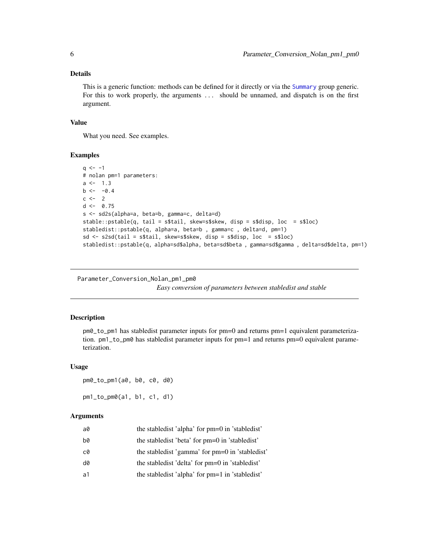# <span id="page-5-0"></span>Details

This is a generic function: methods can be defined for it directly or via the [Summary](#page-0-0) group generic. For this to work properly, the arguments ... should be unnamed, and dispatch is on the first argument.

# Value

What you need. See examples.

### Examples

```
q \le -1# nolan pm=1 parameters:
a \le -1.3b \le -0.4c \le -2d \leq -0.75s <- sd2s(alpha=a, beta=b, gamma=c, delta=d)
stable::pstable(q, tail = s$tail, skew=s$skew, disp = s$disp, loc = s$loc)
stabledist::pstable(q, alpha=a, beta=b , gamma=c , delta=d, pm=1)
sd <- s2sd(tail = s$tail, skew=s$skew, disp = s$disp, loc = s$loc)
stabledist::pstable(q, alpha=sd$alpha, beta=sd$beta , gamma=sd$gamma , delta=sd$delta, pm=1)
```
Parameter\_Conversion\_Nolan\_pm1\_pm0

*Easy conversion of parameters between stabledist and stable*

#### **Description**

pm0\_to\_pm1 has stabledist parameter inputs for pm=0 and returns pm=1 equivalent parameterization. pm1\_to\_pm0 has stabledist parameter inputs for pm=1 and returns pm=0 equivalent parameterization.

#### Usage

```
pm0_to_pm1(a0, b0, c0, d0)
pm1_to_pm0(a1, b1, c1, d1)
```
#### Arguments

| a0             | the stabledist 'alpha' for pm=0 in 'stabledist'   |
|----------------|---------------------------------------------------|
| b0             | the stabledist 'beta' for pm=0 in 'stabledist'    |
| c0             | the stabled ist 'gamma' for pm=0 in 'stabled ist' |
| d0             | the stabledist 'delta' for pm=0 in 'stabledist'   |
| a <sub>1</sub> | the stabledist 'alpha' for pm=1 in 'stabledist'   |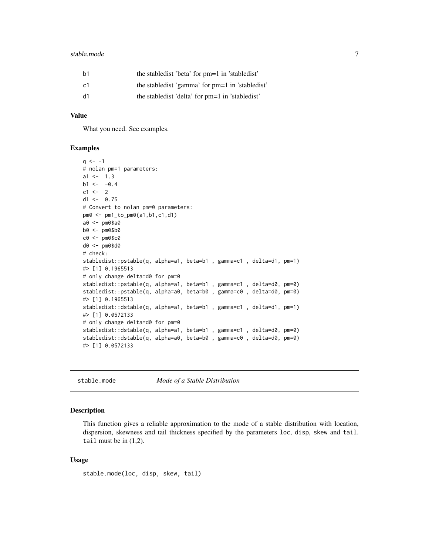#### <span id="page-6-0"></span>stable.mode 7 and 7 and 7 and 7 and 7 and 7 and 7 and 7 and 7 and 7 and 7 and 7 and 7 and 7 and 7 and 7 and 7 and 7 and 7 and 7 and 7 and 7 and 7 and 7 and 7 and 7 and 7 and 7 and 7 and 7 and 7 and 7 and 7 and 7 and 7 and

| b1 | the stable dist 'beta' for pm=1 in 'stable dist'  |
|----|---------------------------------------------------|
| c1 | the stabled ist 'gamma' for pm=1 in 'stabled ist' |
| d1 | the stable dist 'delta' for pm=1 in 'stable dist' |

# Value

What you need. See examples.

# Examples

```
q \le -1# nolan pm=1 parameters:
a1 < -1.3b1 < -0.4c1 < -2d1 < -0.75# Convert to nolan pm=0 parameters:
pm0 <- pm1_to_pm0(a1,b1,c1,d1)
a0 <- pm0$a0
b0 <- pm0$b0
c0 <- pm0$c0
d0 <- pm0$d0
# check:
stabledist::pstable(q, alpha=a1, beta=b1 , gamma=c1 , delta=d1, pm=1)
#> [1] 0.1965513
# only change delta=d0 for pm=0
stabledist::pstable(q, alpha=a1, beta=b1, gamma=c1, delta=d0, pm=0)
stabledist::pstable(q, alpha=a0, beta=b0, gamma=c0, delta=d0, pm=0)
#> [1] 0.1965513
stabledist::dstable(q, alpha=a1, beta=b1 , gamma=c1 , delta=d1, pm=1)
#> [1] 0.0572133
# only change delta=d0 for pm=0
stabledist::dstable(q, alpha=a1, beta=b1 , gamma=c1 , delta=d0, pm=0)
stabledist::dstable(q, alpha=a0, beta=b0, gamma=c0, delta=d0, pm=0)
#> [1] 0.0572133
```
stable.mode *Mode of a Stable Distribution*

# Description

This function gives a reliable approximation to the mode of a stable distribution with location, dispersion, skewness and tail thickness specified by the parameters loc, disp, skew and tail. tail must be in (1,2).

# Usage

stable.mode(loc, disp, skew, tail)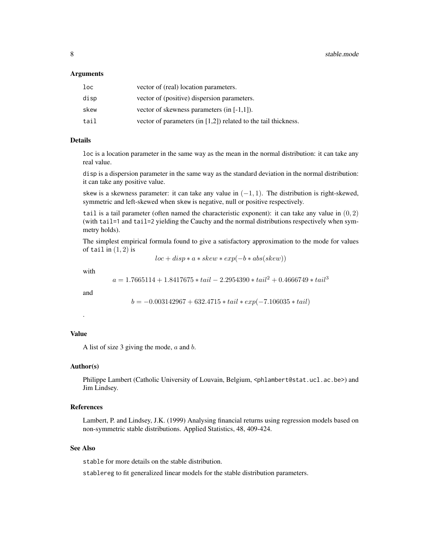#### Arguments

| loc  | vector of (real) location parameters.                             |
|------|-------------------------------------------------------------------|
| disp | vector of (positive) dispersion parameters.                       |
| skew | vector of skewness parameters (in $[-1,1]$ ).                     |
| tail | vector of parameters (in $[1,2]$ ) related to the tail thickness. |

# Details

loc is a location parameter in the same way as the mean in the normal distribution: it can take any real value.

disp is a dispersion parameter in the same way as the standard deviation in the normal distribution: it can take any positive value.

skew is a skewness parameter: it can take any value in  $(-1, 1)$ . The distribution is right-skewed, symmetric and left-skewed when skew is negative, null or positive respectively.

tail is a tail parameter (often named the characteristic exponent): it can take any value in  $(0, 2)$ (with tail=1 and tail=2 yielding the Cauchy and the normal distributions respectively when symmetry holds).

The simplest empirical formula found to give a satisfactory approximation to the mode for values of tail in  $(1, 2)$  is

 $loc + disp * a * skew * exp(-b * abs(skew))$ 

with

 $a = 1.7665114 + 1.8417675 * tail - 2.2954390 * tail^2 + 0.4666749 * tail^3$ 

and

.

$$
b = -0.003142967 + 632.4715 * tail * exp(-7.106035 * tail)
$$

# Value

A list of size 3 giving the mode,  $a$  and  $b$ .

#### Author(s)

Philippe Lambert (Catholic University of Louvain, Belgium, <phlambert@stat.ucl.ac.be>) and Jim Lindsey.

# References

Lambert, P. and Lindsey, J.K. (1999) Analysing financial returns using regression models based on non-symmetric stable distributions. Applied Statistics, 48, 409-424.

# See Also

stable for more details on the stable distribution.

stablereg to fit generalized linear models for the stable distribution parameters.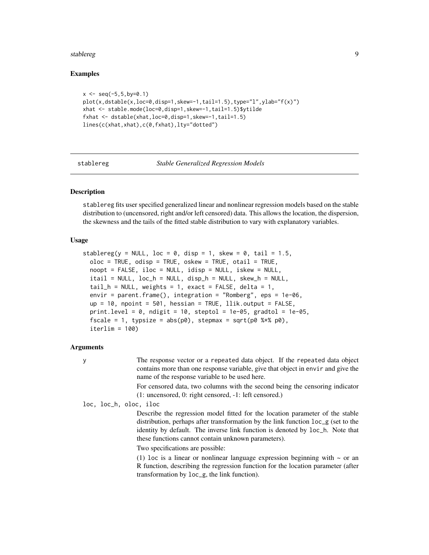#### <span id="page-8-0"></span>stablereg **9**

# Examples

```
x \le - seq(-5, 5,by=0.1)
plot(x,dstable(x,loc=0,disp=1,skew=-1,tail=1.5),type="1",ylab="f(x)")xhat <- stable.mode(loc=0,disp=1,skew=-1,tail=1.5)$ytilde
fxhat <- dstable(xhat,loc=0,disp=1,skew=-1,tail=1.5)
lines(c(xhat,xhat),c(0,fxhat),lty="dotted")
```
#### <span id="page-8-1"></span>stablereg *Stable Generalized Regression Models*

# Description

stablereg fits user specified generalized linear and nonlinear regression models based on the stable distribution to (uncensored, right and/or left censored) data. This allows the location, the dispersion, the skewness and the tails of the fitted stable distribution to vary with explanatory variables.

#### Usage

```
stablereg(y = NULL, loc = 0, disp = 1, skew = 0, tail = 1.5,
 oloc = TRUE, odisp = TRUE, oskew = TRUE, ota1 = TRUE,
 noopt = FALSE, iloc = NULL, idisp = NULL, iskew = NULL,
 itail = NULL, loc_h = NULL, disp_h = NULL, skew_h = NULL,
 tail_h = NULL, weights = 1, exact = FALSE, delta = 1,
 envir = parent.frame(), integration = "Romberg", eps = 1e-06,
 up = 10, npoint = 501, hessian = TRUE, llik.output = FALSE,
 print.level = 0, ndigit = 10, steptol = 1e-05, gradtol = 1e-05,
 fscale = 1, typsize = abs(p0), stepmax = sqrt(p0 %*% p0),
 iterlim = 100)
```
# Arguments

y The response vector or a repeated data object. If the repeated data object contains more than one response variable, give that object in envir and give the name of the response variable to be used here.

> For censored data, two columns with the second being the censoring indicator (1: uncensored, 0: right censored, -1: left censored.)

loc, loc\_h, oloc, iloc

Describe the regression model fitted for the location parameter of the stable distribution, perhaps after transformation by the link function loc\_g (set to the identity by default. The inverse link function is denoted by loc\_h. Note that these functions cannot contain unknown parameters).

Two specifications are possible:

(1) loc is a linear or nonlinear language expression beginning with  $\sim$  or an R function, describing the regression function for the location parameter (after transformation by loc\_g, the link function).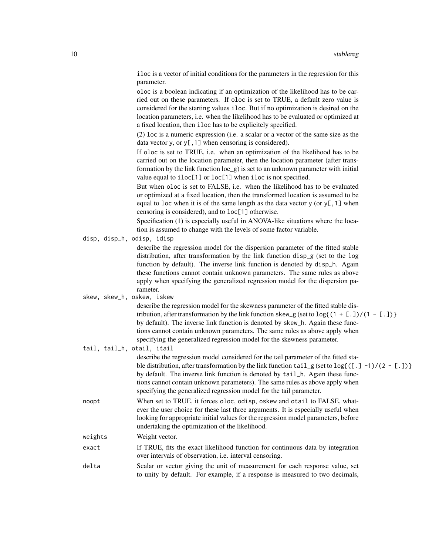iloc is a vector of initial conditions for the parameters in the regression for this parameter.

oloc is a boolean indicating if an optimization of the likelihood has to be carried out on these parameters. If oloc is set to TRUE, a default zero value is considered for the starting values iloc. But if no optimization is desired on the location parameters, i.e. when the likelihood has to be evaluated or optimized at a fixed location, then iloc has to be explicitely specified.

(2) loc is a numeric expression (i.e. a scalar or a vector of the same size as the data vector y, or  $y$ [, 1] when censoring is considered).

If oloc is set to TRUE, i.e. when an optimization of the likelihood has to be carried out on the location parameter, then the location parameter (after transformation by the link function loc\_g) is set to an unknown parameter with initial value equal to iloc[1] or loc[1] when iloc is not specified.

But when oloc is set to FALSE, i.e. when the likelihood has to be evaluated or optimized at a fixed location, then the transformed location is assumed to be equal to loc when it is of the same length as the data vector  $\gamma$  (or  $\gamma$ [,1] when censoring is considered), and to loc[1] otherwise.

Specification (1) is especially useful in ANOVA-like situations where the location is assumed to change with the levels of some factor variable.

disp, disp\_h, odisp, idisp

describe the regression model for the dispersion parameter of the fitted stable distribution, after transformation by the link function disp\_g (set to the log function by default). The inverse link function is denoted by disp\_h. Again these functions cannot contain unknown parameters. The same rules as above apply when specifying the generalized regression model for the dispersion parameter.

skew, skew\_h, oskew, iskew

describe the regression model for the skewness parameter of the fitted stable distribution, after transformation by the link function skew\_g (set to  $\log\{(1 + [1]/(1 - [1])\}$ ) by default). The inverse link function is denoted by skew\_h. Again these functions cannot contain unknown parameters. The same rules as above apply when specifying the generalized regression model for the skewness parameter.

tail, tail\_h, otail, itail

| tail, tail_h, otail, itail |                                                                                                                                                                                                                                                                                                                                                                                                                                                                          |
|----------------------------|--------------------------------------------------------------------------------------------------------------------------------------------------------------------------------------------------------------------------------------------------------------------------------------------------------------------------------------------------------------------------------------------------------------------------------------------------------------------------|
|                            | describe the regression model considered for the tail parameter of the fitted sta-<br>ble distribution, after transformation by the link function $\text{tail}_{\mathcal{B}}$ (set to $\log\{([\cdot, -1) / (2 - [\cdot, ])\}$ )<br>by default. The inverse link function is denoted by tail_h. Again these func-<br>tions cannot contain unknown parameters). The same rules as above apply when<br>specifying the generalized regression model for the tail parameter. |
| noopt                      | When set to TRUE, it forces oloc, odisp, oskew and otail to FALSE, what-<br>ever the user choice for these last three arguments. It is especially useful when<br>looking for appropriate initial values for the regression model parameters, before<br>undertaking the optimization of the likelihood.                                                                                                                                                                   |
| weights                    | Weight vector.                                                                                                                                                                                                                                                                                                                                                                                                                                                           |
| exact                      | If TRUE, fits the exact likelihood function for continuous data by integration<br>over intervals of observation, <i>i.e.</i> interval censoring.                                                                                                                                                                                                                                                                                                                         |
| delta                      | Scalar or vector giving the unit of measurement for each response value, set<br>to unity by default. For example, if a response is measured to two decimals,                                                                                                                                                                                                                                                                                                             |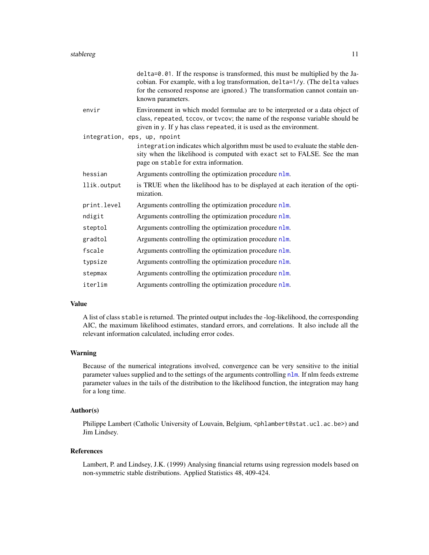<span id="page-10-0"></span>

|                              | delta=0.01. If the response is transformed, this must be multiplied by the Ja-<br>cobian. For example, with a log transformation, delta=1/y. (The delta values<br>for the censored response are ignored.) The transformation cannot contain un-<br>known parameters. |
|------------------------------|----------------------------------------------------------------------------------------------------------------------------------------------------------------------------------------------------------------------------------------------------------------------|
| envir                        | Environment in which model formulae are to be interpreted or a data object of<br>class, repeated, tccov, or tvcov; the name of the response variable should be<br>given in y. If y has class repeated, it is used as the environment.                                |
| integration, eps, up, npoint |                                                                                                                                                                                                                                                                      |
|                              | integration indicates which algorithm must be used to evaluate the stable den-<br>sity when the likelihood is computed with exact set to FALSE. See the man<br>page on stable for extra information.                                                                 |
| hessian                      | Arguments controlling the optimization procedure nlm.                                                                                                                                                                                                                |
| llik.output                  | is TRUE when the likelihood has to be displayed at each iteration of the opti-<br>mization.                                                                                                                                                                          |
| print.level                  | Arguments controlling the optimization procedure nlm.                                                                                                                                                                                                                |
| ndigit                       | Arguments controlling the optimization procedure nlm.                                                                                                                                                                                                                |
| steptol                      | Arguments controlling the optimization procedure nlm.                                                                                                                                                                                                                |
| gradtol                      | Arguments controlling the optimization procedure nlm.                                                                                                                                                                                                                |
| fscale                       | Arguments controlling the optimization procedure nlm.                                                                                                                                                                                                                |
| typsize                      | Arguments controlling the optimization procedure nlm.                                                                                                                                                                                                                |
| stepmax                      | Arguments controlling the optimization procedure nlm.                                                                                                                                                                                                                |
| iterlim                      | Arguments controlling the optimization procedure nlm.                                                                                                                                                                                                                |

# Value

A list of class stable is returned. The printed output includes the -log-likelihood, the corresponding AIC, the maximum likelihood estimates, standard errors, and correlations. It also include all the relevant information calculated, including error codes.

#### Warning

Because of the numerical integrations involved, convergence can be very sensitive to the initial parameter values supplied and to the settings of the arguments controlling [nlm](#page-0-0). If nlm feeds extreme parameter values in the tails of the distribution to the likelihood function, the integration may hang for a long time.

# Author(s)

Philippe Lambert (Catholic University of Louvain, Belgium, <phlambert@stat.ucl.ac.be>) and Jim Lindsey.

# References

Lambert, P. and Lindsey, J.K. (1999) Analysing financial returns using regression models based on non-symmetric stable distributions. Applied Statistics 48, 409-424.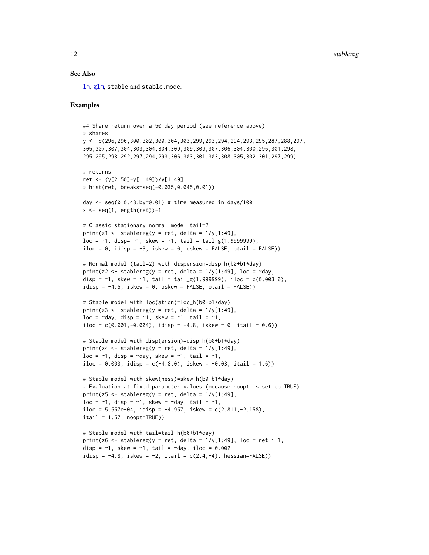# <span id="page-11-0"></span>See Also

[lm](#page-0-0), [glm](#page-0-0), stable and stable.mode.

# Examples

```
## Share return over a 50 day period (see reference above)
# shares
y <- c(296,296,300,302,300,304,303,299,293,294,294,293,295,287,288,297,
305,307,307,304,303,304,304,309,309,309,307,306,304,300,296,301,298,
295,295,293,292,297,294,293,306,303,301,303,308,305,302,301,297,299)
# returns
ret <- (y[2:50]-y[1:49])/y[1:49]
# hist(ret, breaks=seq(-0.035,0.045,0.01))
day \leq seq(0,0.48,by=0.01) # time measured in days/100
x \leq -\text{seq}(1, \text{length}(\text{ret})) - 1# Classic stationary normal model tail=2
print(z1 \leftarrow stablereg(y = ret, delta = 1/y[1:49],loc = -1, disp= -1, skew = -1, tail = tail_g(1.9999999),
iloc = 0, idisp = -3, iskew = 0, oskew = FALSE, otail = FALSE))
# Normal model (tail=2) with dispersion=disp_h(b0+b1*day)
print(z2 <- stablereg(y = ret, delta = 1/y[1:49], loc = \simday,
disp = \sim1, skew = \sim1, tail = tail_g(1.999999), iloc = c(0.003,0),
idisp = -4.5, iskew = 0, oskew = FALSE, otail = FALSE))
# Stable model with loc(ation)=loc_h(b0+b1*day)
print(z3 \le stablereg(y = ret, delta = 1/y[1:49],
loc = \simday, disp = \sim1, skew = \sim1, tail = \sim1,
iloc = c(0.001, -0.004), idisp = -4.8, iskew = 0, itail = 0.6))
# Stable model with disp(ersion)=disp_h(b0+b1*day)
print(z4 \le stablereg(y = ret, delta = 1/y[1:49],
loc = -1, disp = -day, skew = -1, tail = -1,
iloc = 0.003, idisp = c(-4.8,0), iskew = -0.03, itail = 1.6))
# Stable model with skew(ness)=skew_h(b0+b1*day)
# Evaluation at fixed parameter values (because noopt is set to TRUE)
print(z5 <- stablereg(y = ret, delta = 1/y[1:49],
loc = \sim1, disp = \sim1, skew = \simday, tail = \sim1,
iloc = 5.557e-04, idisp = -4.957, iskew = c(2.811,-2.158),
ital = 1.57, noopt=True()# Stable model with tail=tail_h(b0+b1*day)
print(z6 <- stablereg(y = ret, delta = 1/y[1:49], loc = ret ~ 1,
disp = \sim1, skew = \sim1, tail = \simday, iloc = 0.002,
idisp = -4.8, iskew = -2, itail = c(2.4, -4), hessian=FALSE))
```